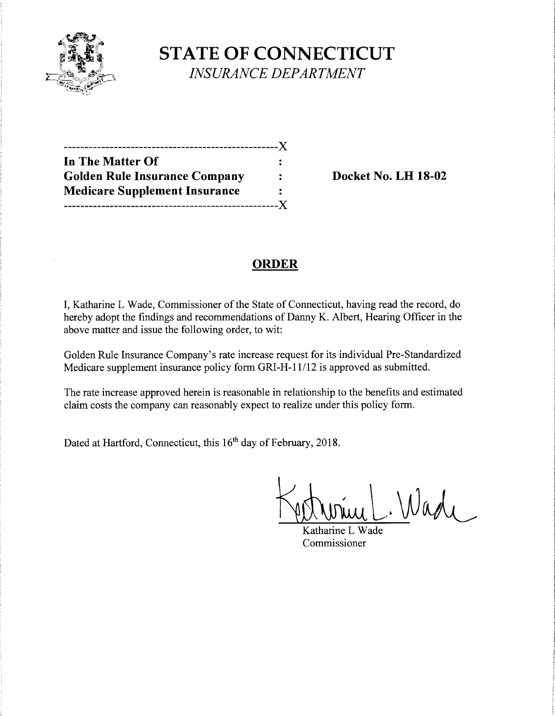

**STATE OF CONNECTICUT**  *INSURANCE DEPARTMENT* 

| In The Matter Of                     |  |
|--------------------------------------|--|
| <b>Golden Rule Insurance Company</b> |  |
| <b>Medicare Supplement Insurance</b> |  |
|                                      |  |

**Docket No. LH 18-02** 

## **ORDER**

I, Katharine L Wade, Commissioner of the State of Connecticut, having read the record, do hereby adopt the findings and recommendations of Danny K. Albert, Hearing Officer in the above matter and issue the following order, to wit:

Golden Rule Insurance Company's rate increase request for its individual Pre-Standardized Medicare supplement insurance policy form GRI-H-11/12 is approved as submitted.

The rate increase approved herein is reasonable in relationship to the benefits and estimated claim costs the company can reasonably expect to realize under this policy form.

Dated at Hartford, Connecticut, this 16<sup>th</sup> day of February, 2018.

Wadi

Katharine L Wade Commissioner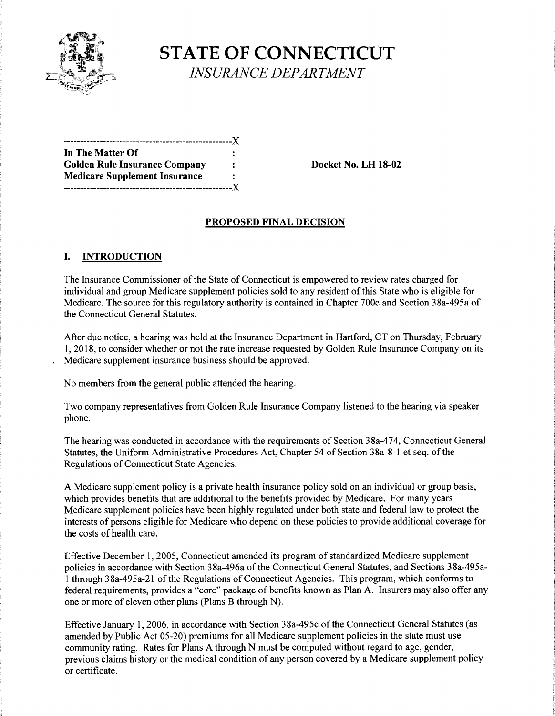

# **STATE OF CONNECTICUT** *INSURANCE DEPARTMENT*

---------------------------------------------------)( **In The Matter Of**  Golden Rule Insurance Company : Docket No. LH 18-02 **Medicare Supplement Insurance**  ---------------------------------------------------)(

#### **PROPOSED FINAL DECISION**

#### **I. INTRODUCTION**

The Insurance Commissioner of the State of Connecticut is empowered to review rates charged for individual and group Medicare supplement policies sold to any resident of this State who is eligible for Medicare. The source for this regulatory authority is contained in Chapter 700c and Section 38a-495a of the Connecticut General Statutes.

After due notice, a hearing was held at the Insurance Department in Hartford, CT on Thursday, February 1, 2018, to consider whether or not the rate increase requested by Golden Rule Insurance Company on its Medicare supplement insurance business should be approved.

No members from the general public attended the hearing.

Two company representatives from Golden Rule Insurance Company listened to the hearing via speaker phone.

The hearing was conducted in accordance with the requirements of Section 38a-474, Connecticut General Statutes, the Uniform Administrative Procedures Act, Chapter 54 of Section 38a-8-1 et seq. of the Regulations of Connecticut State Agencies.

A Medicare supplement policy is a private health insurance policy sold on an individual or group basis, which provides benefits that are additional to the benefits provided by Medicare. For many years Medicare supplement policies have been highly regulated under both state and federal law to protect the interests of persons eligible for Medicare who depend on these policies to provide additional coverage for the costs of health care.

Effective December 1, 2005, Connecticut amended its program of standardized Medicare supplement policies in accordance with Section 38a-496a of the Connecticut General Statutes, and Sections 38a-495a-1 through 38a-495a-21 of the Regulations of Connecticut Agencies. This program, which conforms to federal requirements, provides a "core" package of benefits known as Plan A. Insurers may also offer any one or more of eleven other plans (Plans B through N).

Effective January 1, 2006, in accordance with Section 38a-495c of the Connecticut General Statutes (as amended by Public Act 05-20) premiums for all Medicare supplement policies in the state must use community rating. Rates for Plans A through N must be computed without regard to age, gender, previous claims history or the medical condition of any person covered by a Medicare supplement policy or certificate.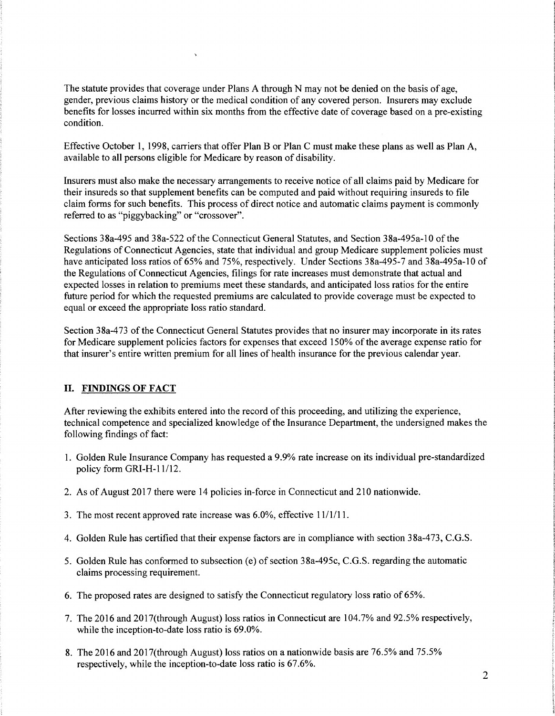The statute provides that coverage under Plans A through N may not be denied on the basis of age, gender, previous claims history or the medical condition of any covered person. Insurers may exclude benefits for losses incurred within six months from the effective date of coverage based on a pre-existing condition.

Effective October 1, 1998, carriers that offer Plan B or Plan C must make these plans as well as Plan A, available to all persons eligible for Medicare by reason of disability.

Insurers must also make the necessary arrangements to receive notice of all claims paid by Medicare for their insureds so that supplement benefits can be computed and paid without requiring insureds to file claim forms for such benefits. This process of direct notice and automatic claims payment is commonly referred to as "piggybacking" or "crossover".

Sections 38a-495 and 38a-522 of the Connecticut General Statutes, and Section 38a-495a-10 of the Regulations of Connecticut Agencies, state that individual and group Medicare supplement policies must have anticipated loss ratios of 65% and 75%, respectively. Under Sections 38a-495-7 and 38a-495a-10 of the Regulations of Connecticut Agencies, filings for rate increases must demonstrate that actual and expected losses in relation to premiums meet these standards, and anticipated loss ratios for the entire future period for which the requested premiums are calculated to provide coverage must be expected to equal or exceed the appropriate loss ratio standard.

Section 38a-473 of the Connecticut General Statutes provides that no insurer may incorporate in its rates for Medicare supplement policies factors for expenses that exceed 150% of the average expense ratio for that insurer's entire written premium for all lines of health insurance for the previous calendar year.

#### II. **FINDINGS OF FACT**

After reviewing the exhibits entered into the record ofthis proceeding, and utilizing the experience, technical competence and specialized knowledge of the Insurance Department, the undersigned makes the following findings of fact:

- I. Golden Rule Insurance Company has requested a 9.9% rate increase on its individual pre-standardized policy form GRI-H-11/12.
- 2. As of August 2017 there were 14 policies in-force in Connecticut and 210 nationwide.
- 3. The most recent approved rate increase was 6.0%, effective 11/1/11.
- 4. Golden Rule has certified that their expense factors are in compliance with section 38a-473, C.G.S.
- 5. Golden Rule has conformed to subsection (e) of section 38a-495c, C.G.S. regarding the automatic claims processing requirement.
- 6. The proposed rates are designed to satisfy the Connecticut regulatory loss ratio of 65%.
- 7. The 2016 and 2017(through August) loss ratios in Connecticut are 104.7% and 92.5% respectively, while the inception-to-date loss ratio is 69.0%.
- 8. The 2016 and 2017(through August) loss ratios on a nationwide basis are 76.5% and 75.5% respectively, while the inception-to-date loss ratio is 67.6%.